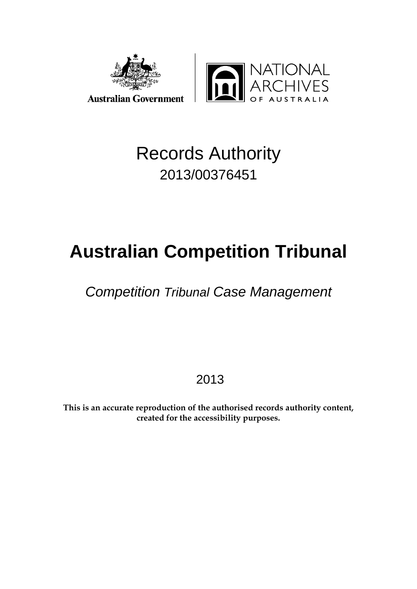

## Records Authority 2013/00376451

# **Australian Competition Tribunal**

## *Competition Tribunal Case Management*

2013

**This is an accurate reproduction of the authorised records authority content, created for the accessibility purposes.**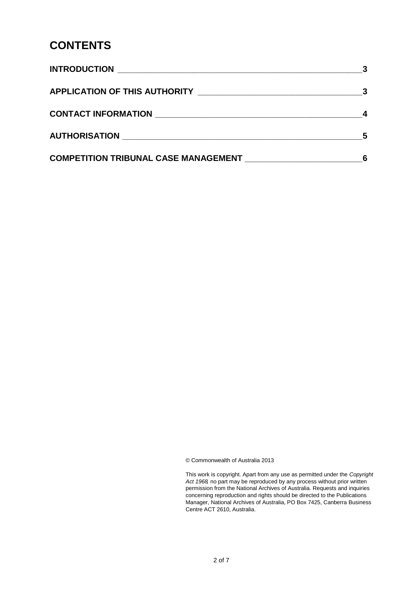#### **CONTENTS**

|                                             | $\overline{\phantom{0}}$ 5 |
|---------------------------------------------|----------------------------|
| <b>COMPETITION TRIBUNAL CASE MANAGEMENT</b> |                            |

© Commonwealth of Australia 2013

This work is copyright. Apart from any use as permitted under the *Copyright Act 1968,* no part may be reproduced by any process without prior written permission from the National Archives of Australia. Requests and inquiries concerning reproduction and rights should be directed to the Publications Manager, National Archives of Australia, PO Box 7425, Canberra Business Centre ACT 2610, Australia.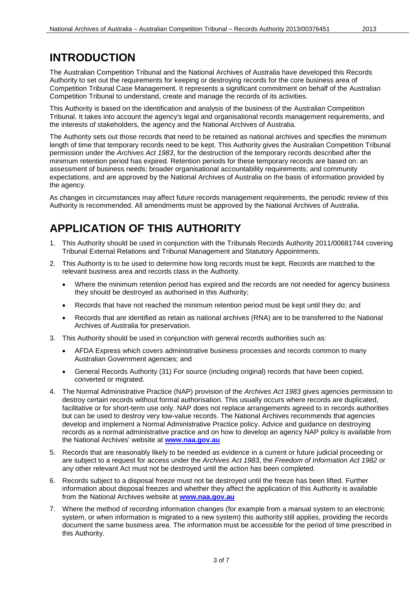#### <span id="page-2-0"></span>**INTRODUCTION**

The Australian Competition Tribunal and the National Archives of Australia have developed this Records Authority to set out the requirements for keeping or destroying records for the core business area of Competition Tribunal Case Management. It represents a significant commitment on behalf of the Australian Competition Tribunal to understand, create and manage the records of its activities.

This Authority is based on the identification and analysis of the business of the Australian Competition Tribunal. It takes into account the agency's legal and organisational records management requirements, and the interests of stakeholders, the agency and the National Archives of Australia.

The Authority sets out those records that need to be retained as national archives and specifies the minimum length of time that temporary records need to be kept. This Authority gives the Australian Competition Tribunal permission under the *Archives Act 1983*, for the destruction of the temporary records described after the minimum retention period has expired. Retention periods for these temporary records are based on: an assessment of business needs; broader organisational accountability requirements; and community expectations, and are approved by the National Archives of Australia on the basis of information provided by the agency.

As changes in circumstances may affect future records management requirements, the periodic review of this Authority is recommended. All amendments must be approved by the National Archives of Australia.

#### <span id="page-2-1"></span>**APPLICATION OF THIS AUTHORITY**

- 1. This Authority should be used in conjunction with the Tribunals Records Authority 2011/00681744 covering Tribunal External Relations and Tribunal Management and Statutory Appointments.
- 2. This Authority is to be used to determine how long records must be kept. Records are matched to the relevant business area and records class in the Authority.
	- Where the minimum retention period has expired and the records are not needed for agency business they should be destroyed as authorised in this Authority;
	- Records that have not reached the minimum retention period must be kept until they do; and
	- Records that are identified as retain as national archives (RNA) are to be transferred to the National Archives of Australia for preservation.
- 3. This Authority should be used in conjunction with general records authorities such as:
	- AFDA Express which covers administrative business processes and records common to many Australian Government agencies; and
	- General Records Authority (31) For source (including original) records that have been copied, converted or migrated.
- 4. The Normal Administrative Practice (NAP) provision of the *Archives Act 1983* gives agencies permission to destroy certain records without formal authorisation. This usually occurs where records are duplicated, facilitative or for short-term use only. NAP does not replace arrangements agreed to in records authorities but can be used to destroy very low-value records. The National Archives recommends that agencies develop and implement a Normal Administrative Practice policy. Advice and guidance on destroying records as a normal administrative practice and on how to develop an agency NAP policy is available from the National Archives' website at **[www.naa.gov.au](http://www.naa.gov.au/)**
- 5. Records that are reasonably likely to be needed as evidence in a current or future judicial proceeding or are subject to a request for access under the *Archives Act 1983*, the *Freedom of Information Act 1982* or any other relevant Act must not be destroyed until the action has been completed.
- 6. Records subject to a disposal freeze must not be destroyed until the freeze has been lifted. Further information about disposal freezes and whether they affect the application of this Authority is available from the National Archives website at **[www.naa.gov.au](http://www.naa.gov.au/)**
- 7. Where the method of recording information changes (for example from a manual system to an electronic system, or when information is migrated to a new system) this authority still applies, providing the records document the same business area. The information must be accessible for the period of time prescribed in this Authority.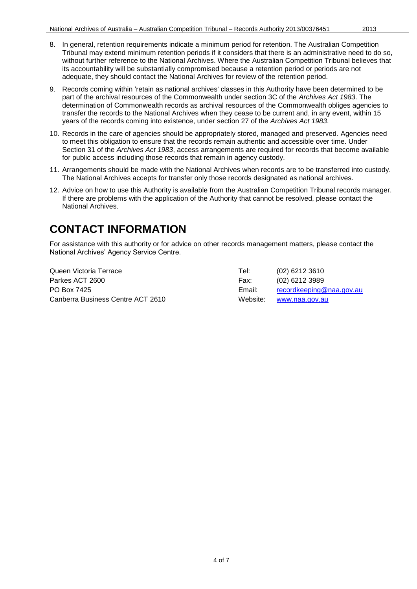- 9. Records coming within 'retain as national archives' classes in this Authority have been determined to be part of the archival resources of the Commonwealth under section 3C of the *Archives Act 1983*. The determination of Commonwealth records as archival resources of the Commonwealth obliges agencies to transfer the records to the National Archives when they cease to be current and, in any event, within 15 years of the records coming into existence, under section 27 of the *Archives Act 1983*.
- 10. Records in the care of agencies should be appropriately stored, managed and preserved. Agencies need to meet this obligation to ensure that the records remain authentic and accessible over time. Under Section 31 of the *Archives Act 1983*, access arrangements are required for records that become available for public access including those records that remain in agency custody.
- 11. Arrangements should be made with the National Archives when records are to be transferred into custody. The National Archives accepts for transfer only those records designated as national archives.
- 12. Advice on how to use this Authority is available from the Australian Competition Tribunal records manager. If there are problems with the application of the Authority that cannot be resolved, please contact the National Archives.

### <span id="page-3-0"></span>**CONTACT INFORMATION**

For assistance with this authority or for advice on other records management matters, please contact the National Archives' Agency Service Centre.

| Queen Victoria Terrace            | Tel:     | (02) 6212 3610           |
|-----------------------------------|----------|--------------------------|
| Parkes ACT 2600                   | Fax:     | (02) 6212 3989           |
| PO Box 7425                       | Email:   | recordkeeping@naa.gov.au |
| Canberra Business Centre ACT 2610 | Website: | www.naa.gov.au           |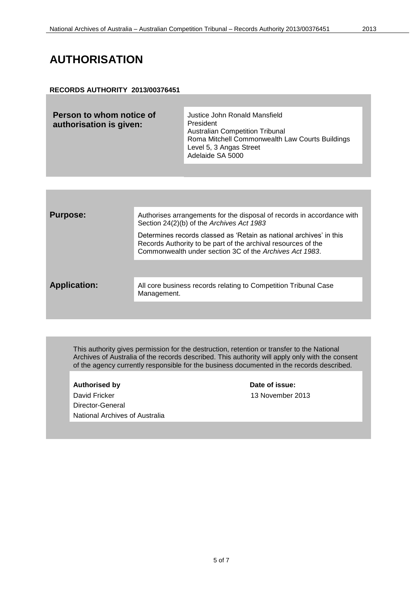#### <span id="page-4-0"></span>**AUTHORISATION**

#### **RECORDS AUTHORITY 2013/00376451**

| Person to whom notice of<br>authorisation is given: | Justice John Ronald Mansfield<br>President<br><b>Australian Competition Tribunal</b><br>Roma Mitchell Commonwealth Law Courts Buildings<br>Level 5, 3 Angas Street<br>Adelaide SA 5000 |
|-----------------------------------------------------|----------------------------------------------------------------------------------------------------------------------------------------------------------------------------------------|
|                                                     |                                                                                                                                                                                        |

| <b>Purpose:</b>     | Authorises arrangements for the disposal of records in accordance with<br>Section 24(2)(b) of the Archives Act 1983                                                                             |
|---------------------|-------------------------------------------------------------------------------------------------------------------------------------------------------------------------------------------------|
|                     | Determines records classed as 'Retain as national archives' in this<br>Records Authority to be part of the archival resources of the<br>Commonwealth under section 3C of the Archives Act 1983. |
|                     |                                                                                                                                                                                                 |
| <b>Application:</b> | All core business records relating to Competition Tribunal Case<br>Management.                                                                                                                  |
|                     |                                                                                                                                                                                                 |

This authority gives permission for the destruction, retention or transfer to the National Archives of Australia of the records described. This authority will apply only with the consent of the agency currently responsible for the business documented in the records described.

Authorised by **Date of issue:** David Fricker 13 November 2013 Director-General National Archives of Australia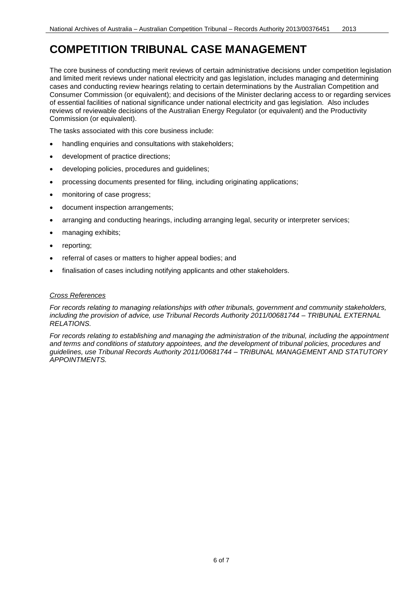### <span id="page-5-0"></span>**COMPETITION TRIBUNAL CASE MANAGEMENT**

The core business of conducting merit reviews of certain administrative decisions under competition legislation and limited merit reviews under national electricity and gas legislation, includes managing and determining cases and conducting review hearings relating to certain determinations by the Australian Competition and Consumer Commission (or equivalent); and decisions of the Minister declaring access to or regarding services of essential facilities of national significance under national electricity and gas legislation. Also includes reviews of reviewable decisions of the Australian Energy Regulator (or equivalent) and the Productivity Commission (or equivalent).

The tasks associated with this core business include:

- handling enquiries and consultations with stakeholders;
- development of practice directions;
- developing policies, procedures and guidelines;
- processing documents presented for filing, including originating applications;
- monitoring of case progress;
- document inspection arrangements;
- arranging and conducting hearings, including arranging legal, security or interpreter services;
- managing exhibits;
- reporting;
- referral of cases or matters to higher appeal bodies; and
- finalisation of cases including notifying applicants and other stakeholders.

#### *Cross References*

*For records relating to managing relationships with other tribunals, government and community stakeholders, including the provision of advice, use Tribunal Records Authority 2011/00681744 – TRIBUNAL EXTERNAL RELATIONS.*

*For records relating to establishing and managing the administration of the tribunal, including the appointment and terms and conditions of statutory appointees, and the development of tribunal policies, procedures and guidelines, use Tribunal Records Authority 2011/00681744 – TRIBUNAL MANAGEMENT AND STATUTORY APPOINTMENTS.*